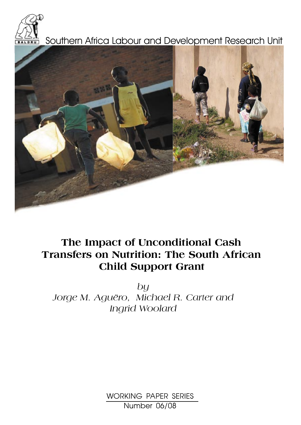

# Southern Africa Labour and Development Research Unit



# **The Impact of Unconditional Cash Transfers on Nutrition: The South African Child Support Grant**

*by Jorge M. Aguero, Michael R. Carter and Ingrid Woolard*

> WORKING PAPER SERIES Number 06/08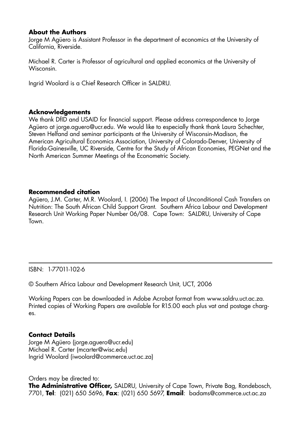### **About the Authors**

Jorge M Agüero is Assistant Professor in the department of economics at the University of California, Riverside.

Michael R. Carter is Professor of agricultural and applied economics at the University of Wisconsin.

Ingrid Woolard is a Chief Research Officer in SALDRU.

### **Acknowledgements**

We thank DfID and USAID for financial support. Please address correspondence to Jorge Agüero at jorge.aguero@ucr.edu. We would like to especially thank thank Laura Schechter, Steven Helfand and seminar participants at the University of Wisconsin-Madison, the American Agricultural Economics Association, University of Colorado-Denver, University of Florida-Gainesville, UC Riverside, Centre for the Study of African Economies, PEGNet and the North American Summer Meetings of the Econometric Society.

### **Recommended citation**

Agüero, J.M. Carter, M.R. Woolard, I. (2006) The Impact of Unconditional Cash Transfers on Nutrition: The South African Child Support Grant. Southern Africa Labour and Development Research Unit Working Paper Number 06/08. Cape Town: SALDRU, University of Cape Town.

ISBN: 1-77011-102-6

© Southern Africa Labour and Development Research Unit, UCT, 2006

Working Papers can be downloaded in Adobe Acrobat format from www.saldru.uct.ac.za. Printed copies of Working Papers are available for R15.00 each plus vat and postage charges.

### **Contact Details**

Jorge M Agüero (jorge.aguero@ucr.edu) Michael R. Carter (mcarter@wisc.edu) Ingrid Woolard (iwoolard@commerce.uct.ac.za)

Orders may be directed to:

**The Administrative Officer,** SALDRU, University of Cape Town, Private Bag, Rondebosch, 7701, **Tel**: (021) 650 5696, **Fax**: (021) 650 5697, **Email**: badams@commerce.uct.ac.za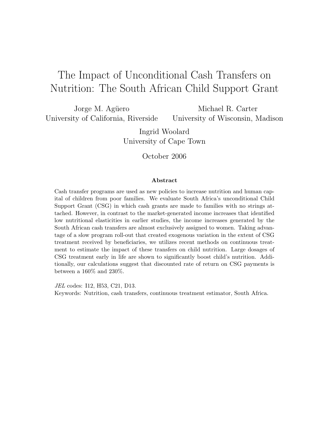# The Impact of Unconditional Cash Transfers on Nutrition: The South African Child Support Grant

Jorge M. Agüero University of California, Riverside Michael R. Carter University of Wisconsin, Madison

> Ingrid Woolard University of Cape Town

> > October 2006

#### Abstract

Cash transfer programs are used as new policies to increase nutrition and human capital of children from poor families. We evaluate South Africa's unconditional Child Support Grant (CSG) in which cash grants are made to families with no strings attached. However, in contrast to the market-generated income increases that identified low nutritional elasticities in earlier studies, the income increases generated by the South African cash transfers are almost exclusively assigned to women. Taking advantage of a slow program roll-out that created exogenous variation in the extent of CSG treatment received by beneficiaries, we utilizes recent methods on continuous treatment to estimate the impact of these transfers on child nutrition. Large dosages of CSG treatment early in life are shown to significantly boost child's nutrition. Additionally, our calculations suggest that discounted rate of return on CSG payments is between a 160% and 230%.

JEL codes: I12, H53, C21, D13. Keywords: Nutrition, cash transfers, continuous treatment estimator, South Africa.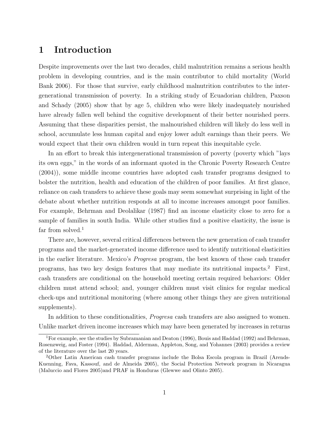## 1 Introduction

Despite improvements over the last two decades, child malnutrition remains a serious health problem in developing countries, and is the main contributor to child mortality (World Bank 2006). For those that survive, early childhood malnutrition contributes to the intergenerational transmission of poverty. In a striking study of Ecuadorian children, Paxson and Schady (2005) show that by age 5, children who were likely inadequately nourished have already fallen well behind the cognitive development of their better nourished peers. Assuming that these disparities persist, the malnourished children will likely do less well in school, accumulate less human capital and enjoy lower adult earnings than their peers. We would expect that their own children would in turn repeat this inequitable cycle.

In an effort to break this intergenerational transmission of poverty (poverty which "lays its own eggs," in the words of an informant quoted in the Chronic Poverty Research Centre (2004)), some middle income countries have adopted cash transfer programs designed to bolster the nutrition, health and education of the children of poor families. At first glance, reliance on cash transfers to achieve these goals may seem somewhat surprising in light of the debate about whether nutrition responds at all to income increases amongst poor families. For example, Behrman and Deolalikar (1987) find an income elasticity close to zero for a sample of families in south India. While other studies find a positive elasticity, the issue is far from solved.<sup>1</sup>

There are, however, several critical differences between the new generation of cash transfer programs and the market-generated income difference used to identify nutritional elasticities in the earlier literature. Mexico's Progresa program, the best known of these cash transfer programs, has two key design features that may mediate its nutritional impacts.<sup>2</sup> First, cash transfers are conditional on the household meeting certain required behaviors: Older children must attend school; and, younger children must visit clinics for regular medical check-ups and nutritional monitoring (where among other things they are given nutritional supplements).

In addition to these conditionalities, *Progresa* cash transfers are also assigned to women. Unlike market driven income increases which may have been generated by increases in returns

<sup>&</sup>lt;sup>1</sup>For example, see the studies by Subramanian and Deaton (1996), Bouis and Haddad (1992) and Behrman. Rosenzweig, and Foster (1994). Haddad, Alderman, Appleton, Song, and Yohannes (2003) provides a review of the literature over the last 20 years.

<sup>2</sup>Other Latin American cash transfer programs include the Bolsa Escola program in Brazil (Arends-Kuenning, Fava, Kassouf, and de Almeida 2005), the Social Protection Network program in Nicaragua (Maluccio and Flores 2005)and PRAF in Honduras (Glewwe and Olinto 2005).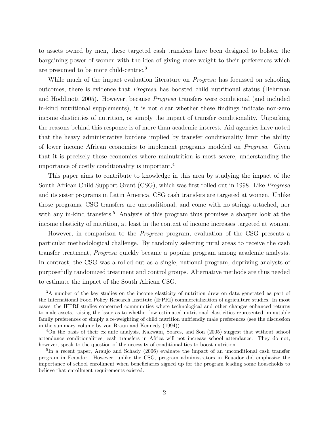to assets owned by men, these targeted cash transfers have been designed to bolster the bargaining power of women with the idea of giving more weight to their preferences which are presumed to be more child-centric.<sup>3</sup>

While much of the impact evaluation literature on *Progresa* has focussed on schooling outcomes, there is evidence that Progresa has boosted child nutritional status (Behrman and Hoddinott 2005). However, because Progresa transfers were conditional (and included in-kind nutritional supplements), it is not clear whether these findings indicate non-zero income elasticities of nutrition, or simply the impact of transfer conditionality. Unpacking the reasons behind this response is of more than academic interest. Aid agencies have noted that the heavy administrative burdens implied by transfer conditionality limit the ability of lower income African economies to implement programs modeled on Progresa. Given that it is precisely these economies where malnutrition is most severe, understanding the importance of costly conditionality is important.<sup>4</sup>

This paper aims to contribute to knowledge in this area by studying the impact of the South African Child Support Grant (CSG), which was first rolled out in 1998. Like Progresa and its sister programs in Latin America, CSG cash transfers are targeted at women. Unlike those programs, CSG transfers are unconditional, and come with no strings attached, nor with any in-kind transfers.<sup>5</sup> Analysis of this program thus promises a sharper look at the income elasticity of nutrition, at least in the context of income increases targeted at women.

However, in comparison to the Progresa program, evaluation of the CSG presents a particular methodological challenge. By randomly selecting rural areas to receive the cash transfer treatment, Progresa quickly became a popular program among academic analysts. In contrast, the CSG was a rolled out as a single, national program, depriving analysts of purposefully randomized treatment and control groups. Alternative methods are thus needed to estimate the impact of the South African CSG.

<sup>&</sup>lt;sup>3</sup>A number of the key studies on the income elasticity of nutrition drew on data generated as part of the International Food Policy Research Institute (IFPRI) commercialization of agriculture studies. In most cases, the IFPRI studies concerned communities where technological and other changes enhanced returns to male assets, raising the issue as to whether low estimated nutritional elasticities represented immutable family preferences or simply a re-weighting of child nutrition unfriendly male preferences (see the discussion in the summary volume by von Braun and Kennedy (1994)).

<sup>4</sup>On the basis of their ex ante analysis, Kakwani, Soares, and Son (2005) suggest that without school attendance conditionalities, cash transfers in Africa will not increase school attendance. They do not, however, speak to the question of the necessity of conditionalities to boost nutrition.

<sup>&</sup>lt;sup>5</sup>In a recent paper, Araujo and Schady (2006) evaluate the impact of an unconditional cash transfer program in Ecuador. However, unlike the CSG, program administrators in Ecuador did emphasize the importance of school enrollment when beneficiaries signed up for the program leading some households to believe that enrollment requirements existed.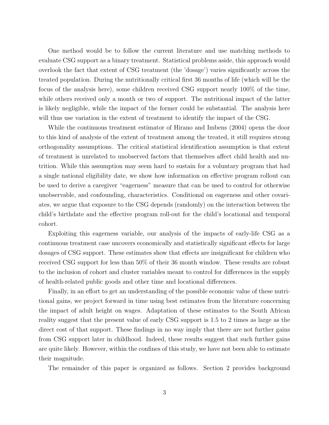One method would be to follow the current literature and use matching methods to evaluate CSG support as a binary treatment. Statistical problems aside, this approach would overlook the fact that extent of CSG treatment (the 'dosage') varies significantly across the treated population. During the nutritionally critical first 36 months of life (which will be the focus of the analysis here), some children received CSG support nearly 100% of the time, while others received only a month or two of support. The nutritional impact of the latter is likely negligible, while the impact of the former could be substantial. The analysis here will thus use variation in the extent of treatment to identify the impact of the CSG.

While the continuous treatment estimator of Hirano and Imbens (2004) opens the door to this kind of analysis of the extent of treatment among the treated, it still requires strong orthogonality assumptions. The critical statistical identification assumption is that extent of treatment is unrelated to unobserved factors that themselves affect child health and nutrition. While this assumption may seem hard to sustain for a voluntary program that had a single national eligibility date, we show how information on effective program rollout can be used to derive a caregiver "eagerness" measure that can be used to control for otherwise unobservable, and confounding, characteristics. Conditional on eagerness and other covariates, we argue that exposure to the CSG depends (randomly) on the interaction between the child's birthdate and the effective program roll-out for the child's locational and temporal cohort.

Exploiting this eagerness variable, our analysis of the impacts of early-life CSG as a continuous treatment case uncovers economically and statistically significant effects for large dosages of CSG support. These estimates show that effects are insignificant for children who received CSG support for less than 50% of their 36 month window. These results are robust to the inclusion of cohort and cluster variables meant to control for differences in the supply of health-related public goods and other time and locational differences.

Finally, in an effort to get an understanding of the possible economic value of these nutritional gains, we project forward in time using best estimates from the literature concerning the impact of adult height on wages. Adaptation of these estimates to the South African reality suggest that the present value of early CSG support is 1.5 to 2 times as large as the direct cost of that support. These findings in no way imply that there are not further gains from CSG support later in childhood. Indeed, these results suggest that such further gains are quite likely. However, within the confines of this study, we have not been able to estimate their magnitude.

The remainder of this paper is organized as follows. Section 2 provides background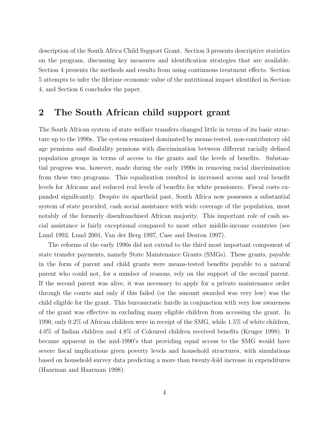description of the South Africa Child Support Grant. Section 3 presents descriptive statistics on the program, discussing key measures and identification strategies that are available. Section 4 presents the methods and results from using continuous treatment effects. Section 5 attempts to infer the lifetime economic value of the nutritional impact identified in Section 4, and Section 6 concludes the paper.

# 2 The South African child support grant

The South African system of state welfare transfers changed little in terms of its basic structure up to the 1990s. The system remained dominated by means-tested, non-contributory old age pensions and disability pensions with discrimination between different racially defined population groups in terms of access to the grants and the levels of benefits. Substantial progress was, however, made during the early 1990s in removing racial discrimination from these two programs. This equalization resulted in increased access and real benefit levels for Africans and reduced real levels of benefits for white pensioners. Fiscal costs expanded significantly. Despite its apartheid past, South Africa now possesses a substantial system of state provided, cash social assistance with wide coverage of the population, most notably of the formerly disenfranchised African majority. This important role of cash social assistance is fairly exceptional compared to most other middle-income countries (see Lund 1993, Lund 2001, Van der Berg 1997, Case and Deaton 1997).

The reforms of the early 1990s did not extend to the third most important component of state transfer payments, namely State Maintenance Grants (SMGs). These grants, payable in the form of parent and child grants were means-tested benefits payable to a natural parent who could not, for a number of reasons, rely on the support of the second parent. If the second parent was alive, it was necessary to apply for a private maintenance order through the courts and only if this failed (or the amount awarded was very low) was the child eligible for the grant. This bureaucratic hurdle in conjunction with very low awareness of the grant was effective in excluding many eligible children from accessing the grant. In 1990, only 0.2% of African children were in receipt of the SMG, while 1.5% of white children, 4.0% of Indian children and 4.8% of Coloured children received benefits (Kruger 1998). It became apparent in the mid-1990's that providing equal access to the SMG would have severe fiscal implications given poverty levels and household structures, with simulations based on household survey data predicting a more than twenty-fold increase in expenditures (Haarman and Haarman 1998).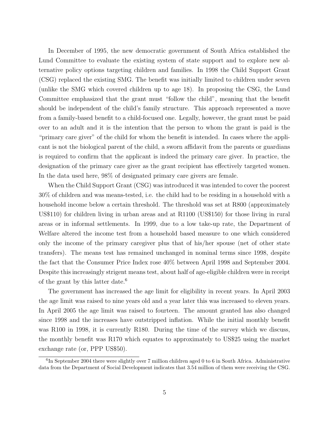In December of 1995, the new democratic government of South Africa established the Lund Committee to evaluate the existing system of state support and to explore new alternative policy options targeting children and families. In 1998 the Child Support Grant (CSG) replaced the existing SMG. The benefit was initially limited to children under seven (unlike the SMG which covered children up to age 18). In proposing the CSG, the Lund Committee emphasized that the grant must "follow the child", meaning that the benefit should be independent of the child's family structure. This approach represented a move from a family-based benefit to a child-focused one. Legally, however, the grant must be paid over to an adult and it is the intention that the person to whom the grant is paid is the "primary care giver" of the child for whom the benefit is intended. In cases where the applicant is not the biological parent of the child, a sworn affidavit from the parents or guardians is required to confirm that the applicant is indeed the primary care giver. In practice, the designation of the primary care giver as the grant recipient has effectively targeted women. In the data used here, 98% of designated primary care givers are female.

When the Child Support Grant (CSG) was introduced it was intended to cover the poorest 30% of children and was means-tested, i.e. the child had to be residing in a household with a household income below a certain threshold. The threshold was set at R800 (approximately US\$110) for children living in urban areas and at R1100 (US\$150) for those living in rural areas or in informal settlements. In 1999, due to a low take-up rate, the Department of Welfare altered the income test from a household based measure to one which considered only the income of the primary caregiver plus that of his/her spouse (net of other state transfers). The means test has remained unchanged in nominal terms since 1998, despite the fact that the Consumer Price Index rose 40% between April 1998 and September 2004. Despite this increasingly strigent means test, about half of age-eligible children were in receipt of the grant by this latter date.<sup>6</sup>

The government has increased the age limit for eligibility in recent years. In April 2003 the age limit was raised to nine years old and a year later this was increased to eleven years. In April 2005 the age limit was raised to fourteen. The amount granted has also changed since 1998 and the increases have outstripped inflation. While the initial monthly benefit was R100 in 1998, it is currently R180. During the time of the survey which we discuss, the monthly benefit was R170 which equates to approximately to US\$25 using the market exchange rate (or, PPP US\$50).

<sup>&</sup>lt;sup>6</sup>In September 2004 there were slightly over 7 million children aged 0 to 6 in South Africa. Administrative data from the Department of Social Development indicates that 3.54 million of them were receiving the CSG.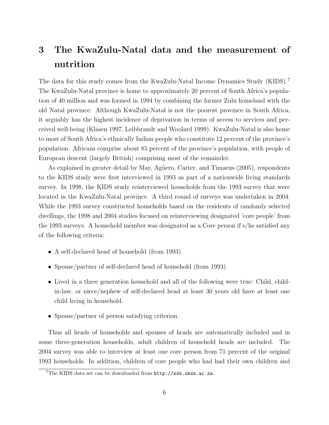# 3 The KwaZulu-Natal data and the measurement of nutrition

The data for this study comes from the KwaZulu-Natal Income Dynamics Study (KIDS).<sup>7</sup> The KwaZulu-Natal province is home to approximately 20 percent of South Africa's population of 40 million and was formed in 1994 by combining the former Zulu homeland with the old Natal province. Although KwaZulu-Natal is not the poorest province in South Africa, it arguably has the highest incidence of deprivation in terms of access to services and perceived well-being (Klasen 1997, Leibbrandt and Woolard 1999). KwaZulu-Natal is also home to most of South Africa's ethnically Indian people who constitute 12 percent of the province's population. Africans comprise about 85 percent of the province's population, with people of European descent (largely British) comprising most of the remainder.

As explained in greater detail by May, Agüero, Carter, and Timaeus (2005), respondents to the KIDS study were first interviewed in 1993 as part of a nationwide living standards survey. In 1998, the KIDS study reinterviewed households from the 1993 survey that were located in the KwaZulu-Natal province. A third round of surveys was undertaken in 2004. While the 1993 survey constructed households based on the residents of randomly selected dwellings, the 1998 and 2004 studies focused on reinterviewing designated 'core people' from the 1993 surveys. A household member was designated as a Core person if s/he satisfied any of the following criteria:

- A self-declared head of household (from 1993).
- Spouse/partner of self-declared head of household (from 1993).
- Lived in a three generation household and all of the following were true: Child, childin-law, or niece/nephew of self-declared head at least 30 years old have at least one child living in household.
- Spouse/partner of person satisfying criterion.

Thus all heads of households and spouses of heads are automatically included and in some three-generation households, adult children of household heads are included. The 2004 survey was able to interview at least one core person from 71 percent of the original 1993 households. In addition, children of core people who had had their own children and

<sup>7</sup>The KIDS data set can be downloaded from http://sds.ukzn.ac.za.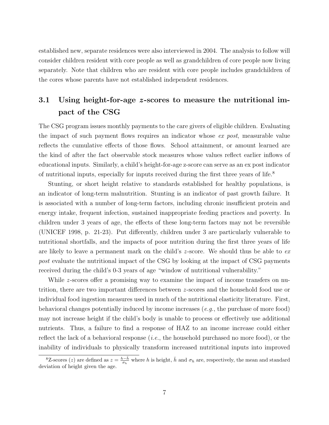established new, separate residences were also interviewed in 2004. The analysis to follow will consider children resident with core people as well as grandchildren of core people now living separately. Note that children who are resident with core people includes grandchildren of the cores whose parents have not established independent residences.

# 3.1 Using height-for-age z-scores to measure the nutritional impact of the CSG

The CSG program issues monthly payments to the care givers of eligible children. Evaluating the impact of such payment flows requires an indicator whose ex post, measurable value reflects the cumulative effects of those flows. School attainment, or amount learned are the kind of after the fact observable stock measures whose values reflect earlier inflows of educational inputs. Similarly, a child's height-for-age z-score can serve as an ex post indicator of nutritional inputs, especially for inputs received during the first three years of life.<sup>8</sup>

Stunting, or short height relative to standards established for healthy populations, is an indicator of long-term malnutrition. Stunting is an indicator of past growth failure. It is associated with a number of long-term factors, including chronic insufficient protein and energy intake, frequent infection, sustained inappropriate feeding practices and poverty. In children under 3 years of age, the effects of these long-term factors may not be reversible (UNICEF 1998, p. 21-23). Put differently, children under 3 are particularly vulnerable to nutritional shortfalls, and the impacts of poor nutrition during the first three years of life are likely to leave a permanent mark on the child's  $z$ -score. We should thus be able to  $ex$ post evaluate the nutritional impact of the CSG by looking at the impact of CSG payments received during the child's 0-3 years of age "window of nutritional vulnerability."

While z-scores offer a promising way to examine the impact of income transfers on nutrition, there are two important differences between z-scores and the household food use or individual food ingestion measures used in much of the nutritional elasticity literature. First, behavioral changes potentially induced by income increases (e.g., the purchase of more food) may not increase height if the child's body is unable to process or effectively use additional nutrients. Thus, a failure to find a response of HAZ to an income increase could either reflect the lack of a behavioral response (*i.e.*, the household purchased no more food), or the inability of individuals to physically transform increased nutritional inputs into improved

<sup>&</sup>lt;sup>8</sup>Z-scores (*z*) are defined as  $z = \frac{h-\bar{h}}{\sigma}$  $\frac{u-\bar{h}}{\sigma_h}$  where h is height,  $\bar{h}$  and  $\sigma_h$  are, respectively, the mean and standard deviation of height given the age.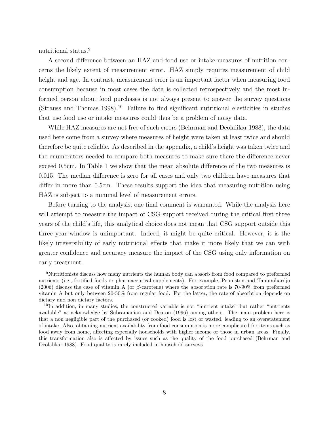nutritional status.<sup>9</sup>

A second difference between an HAZ and food use or intake measures of nutrition concerns the likely extent of measurement error. HAZ simply requires measurement of child height and age. In contrast, measurement error is an important factor when measuring food consumption because in most cases the data is collected retrospectively and the most informed person about food purchases is not always present to answer the survey questions  $(Strauss and Thomas 1998).$ <sup>10</sup> Failure to find significant nutritional elasticities in studies that use food use or intake measures could thus be a problem of noisy data.

While HAZ measures are not free of such errors (Behrman and Deolalikar 1988), the data used here come from a survey where measures of height were taken at least twice and should therefore be quite reliable. As described in the appendix, a child's height was taken twice and the enumerators needed to compare both measures to make sure there the difference never exceed 0.5cm. In Table 1 we show that the mean absolute difference of the two measures is 0.015. The median difference is zero for all cases and only two children have measures that differ in more than 0.5cm. These results support the idea that measuring nutrition using HAZ is subject to a minimal level of measurement errors.

Before turning to the analysis, one final comment is warranted. While the analysis here will attempt to measure the impact of CSG support received during the critical first three years of the child's life, this analytical choice does not mean that CSG support outside this three year window is unimportant. Indeed, it might be quite critical. However, it is the likely irreversibility of early nutritional effects that make it more likely that we can with greater confidence and accuracy measure the impact of the CSG using only information on early treatment.

<sup>9</sup>Nutritionists discuss how many nutrients the human body can absorb from food compared to preformed nutrients (i.e., fortified foods or pharmaceutical supplements). For example, Penniston and Tanumihardjo (2006) discuss the case of vitamin A (or  $\beta$ -carotene) where the absorbtion rate is 70-90% from preformed vitamin A but only between 20-50% from regular food. For the latter, the rate of absorbtion depends on dietary and non dietary factors.

<sup>&</sup>lt;sup>10</sup>In addition, in many studies, the constructed variable is not "nutrient intake" but rather "nutrients" available" as acknowledge by Subramanian and Deaton (1996) among others. The main problem here is that a non negligible part of the purchased (or cooked) food is lost or wasted, leading to an overstatement of intake. Also, obtaining nutrient availability from food consumption is more complicated for items such as food away from home, affecting especially households with higher income or those in urban areas. Finally, this transformation also is affected by issues such as the quality of the food purchased (Behrman and Deolalikar 1988). Food quality is rarely included in household surveys.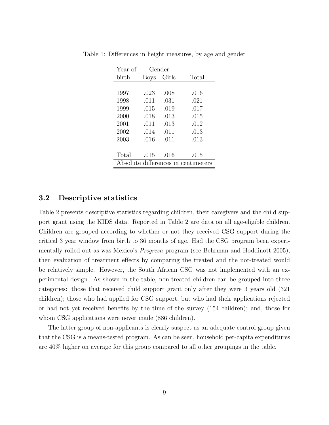| Year of                             | Gender      |       |       |  |  |
|-------------------------------------|-------------|-------|-------|--|--|
| $\rm birth$                         | <b>Boys</b> | Girls | Total |  |  |
|                                     |             |       |       |  |  |
| 1997                                | .023        | .008  | .016  |  |  |
| 1998                                | .011        | .031  | .021  |  |  |
| 1999                                | .015        | .019  | .017  |  |  |
| 2000                                | .018        | .013  | .015  |  |  |
| 2001                                | .011        | .013  | .012  |  |  |
| 2002                                | .014        | .011  | .013  |  |  |
| 2003                                | .016        | .011  | .013  |  |  |
|                                     |             |       |       |  |  |
| Total                               | .015        | .016  | .015  |  |  |
| Absolute differences in centimeters |             |       |       |  |  |

Table 1: Differences in height measures, by age and gender

### 3.2 Descriptive statistics

Table 2 presents descriptive statistics regarding children, their caregivers and the child support grant using the KIDS data. Reported in Table 2 are data on all age-eligible children. Children are grouped according to whether or not they received CSG support during the critical 3 year window from birth to 36 months of age. Had the CSG program been experimentally rolled out as was Mexico's Progresa program (see Behrman and Hoddinott 2005), then evaluation of treatment effects by comparing the treated and the not-treated would be relatively simple. However, the South African CSG was not implemented with an experimental design. As shown in the table, non-treated children can be grouped into three categories: those that received child support grant only after they were 3 years old (321 children); those who had applied for CSG support, but who had their applications rejected or had not yet received benefits by the time of the survey (154 children); and, those for whom CSG applications were never made (886 children).

The latter group of non-applicants is clearly suspect as an adequate control group given that the CSG is a means-tested program. As can be seen, household per-capita expenditures are 40% higher on average for this group compared to all other groupings in the table.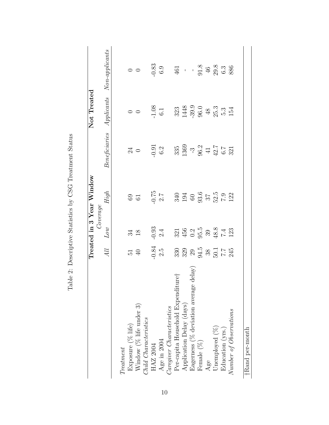|                                             |                                             |                                                                                      | Treated in 3 Year Window |                                                                                                               | Not Treated                                                                                                                   |                                                                 |
|---------------------------------------------|---------------------------------------------|--------------------------------------------------------------------------------------|--------------------------|---------------------------------------------------------------------------------------------------------------|-------------------------------------------------------------------------------------------------------------------------------|-----------------------------------------------------------------|
|                                             |                                             | $\it{Coverage}$                                                                      |                          |                                                                                                               |                                                                                                                               |                                                                 |
|                                             | All                                         | Low                                                                                  | High                     |                                                                                                               |                                                                                                                               | $Beneficiaries$ Applicants Non-applicants                       |
| $The at ment$                               |                                             |                                                                                      |                          |                                                                                                               |                                                                                                                               |                                                                 |
| Exposure (% life)                           |                                             |                                                                                      |                          |                                                                                                               |                                                                                                                               |                                                                 |
| Window ( $\%$ life under 3)                 | $\frac{1}{6}$                               | $34\atop-18$                                                                         | 63<br>61                 | $\frac{24}{9}$ $\circ$                                                                                        | $\circ$                                                                                                                       | $\circ$                                                         |
| Child Characteristics                       |                                             |                                                                                      |                          |                                                                                                               |                                                                                                                               |                                                                 |
| HAZ 2004                                    |                                             | $0.93$<br>2.4                                                                        | $0.75$ $2.7$             | $0.91$<br>$6.2$                                                                                               |                                                                                                                               | $0.83\,$                                                        |
| Age in 2004                                 | $0.84$<br>2.5                               |                                                                                      |                          |                                                                                                               | $\begin{array}{c} 1.08 \\ 6.1 \end{array}$                                                                                    | 6.9                                                             |
| Caregiver Characteristics                   |                                             |                                                                                      |                          |                                                                                                               |                                                                                                                               |                                                                 |
| Per-capita Household Expenditure            |                                             |                                                                                      | $340003507.502122$       | $\begin{array}{c} 335 \\ 1369 \\ -3 \\ 96.2 \\ \end{array} \begin{array}{c} 41 \\ 42.7 \\ 6.7 \\ \end{array}$ |                                                                                                                               | $\frac{461}{91.8}$<br>$\frac{46}{46}$<br>$\frac{8}{6.3}$<br>6.3 |
| Application Delay (days)                    | 3303 34.5<br>329 34.5<br>50.1<br>7.7<br>245 | $\begin{array}{c} 321 \\ 456 \\ 0.2 \\ 95.5 \\ 39 \\ 48.4 \\ 7.4 \\ 123 \end{array}$ |                          |                                                                                                               | $\begin{array}{c} 323 \\ 1448 \\ 39.9 \\ 96.0 \\ \end{array} \hspace{1.7cm} \begin{array}{c} 48 \\ 48 \\ 25.3 \\ \end{array}$ |                                                                 |
| delay)<br>Eagerness ( $%$ deviation average |                                             |                                                                                      |                          |                                                                                                               |                                                                                                                               |                                                                 |
| Female $(\%)$                               |                                             |                                                                                      |                          |                                                                                                               |                                                                                                                               |                                                                 |
| Age                                         |                                             |                                                                                      |                          |                                                                                                               |                                                                                                                               |                                                                 |
| Unemployed $(\%)$                           |                                             |                                                                                      |                          |                                                                                                               |                                                                                                                               |                                                                 |
| Education (yrs.)                            |                                             |                                                                                      |                          |                                                                                                               |                                                                                                                               |                                                                 |
| Number of Observations                      |                                             |                                                                                      |                          |                                                                                                               | 154                                                                                                                           |                                                                 |
|                                             |                                             |                                                                                      |                          |                                                                                                               |                                                                                                                               |                                                                 |
| <b>Rand</b> per-month                       |                                             |                                                                                      |                          |                                                                                                               |                                                                                                                               |                                                                 |

Table 2: Descriptive Statistics by CSG Treatment Status Table 2: Descriptive Statistics by CSG Treatment Status

10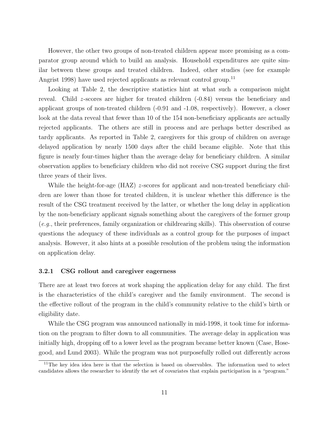However, the other two groups of non-treated children appear more promising as a comparator group around which to build an analysis. Household expenditures are quite similar between these groups and treated children. Indeed, other studies (see for example Angrist 1998) have used rejected applicants as relevant control group.<sup>11</sup>

Looking at Table 2, the descriptive statistics hint at what such a comparison might reveal. Child  $z$ -scores are higher for treated children  $(-0.84)$  versus the beneficiary and applicant groups of non-treated children (-0.91 and -1.08, respectively). However, a closer look at the data reveal that fewer than 10 of the 154 non-beneficiary applicants are actually rejected applicants. The others are still in process and are perhaps better described as tardy applicants. As reported in Table 2, caregivers for this group of children on average delayed application by nearly 1500 days after the child became eligible. Note that this figure is nearly four-times higher than the average delay for beneficiary children. A similar observation applies to beneficiary children who did not receive CSG support during the first three years of their lives.

While the height-for-age (HAZ) *z*-scores for applicant and non-treated beneficiary children are lower than those for treated children, it is unclear whether this difference is the result of the CSG treatment received by the latter, or whether the long delay in application by the non-beneficiary applicant signals something about the caregivers of the former group (e.g., their preferences, family organization or childrearing skills). This observation of course questions the adequacy of these individuals as a control group for the purposes of impact analysis. However, it also hints at a possible resolution of the problem using the information on application delay.

#### 3.2.1 CSG rollout and caregiver eagerness

There are at least two forces at work shaping the application delay for any child. The first is the characteristics of the child's caregiver and the family environment. The second is the effective rollout of the program in the child's community relative to the child's birth or eligibility date.

While the CSG program was announced nationally in mid-1998, it took time for information on the program to filter down to all communities. The average delay in application was initially high, dropping off to a lower level as the program became better known (Case, Hosegood, and Lund 2003). While the program was not purposefully rolled out differently across

 $11$ The key idea idea here is that the selection is based on observables. The information used to select candidates allows the researcher to identify the set of covariates that explain participation in a "program."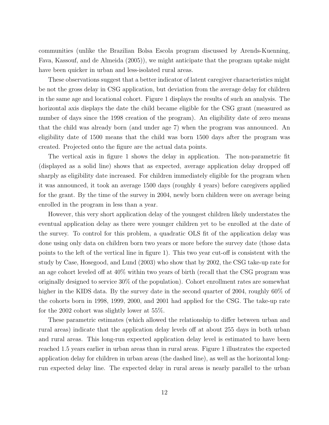communities (unlike the Brazilian Bolsa Escola program discussed by Arends-Kuenning, Fava, Kassouf, and de Almeida (2005)), we might anticipate that the program uptake might have been quicker in urban and less-isolated rural areas.

These observations suggest that a better indicator of latent caregiver characteristics might be not the gross delay in CSG application, but deviation from the average delay for children in the same age and locational cohort. Figure 1 displays the results of such an analysis. The horizontal axis displays the date the child became eligible for the CSG grant (measured as number of days since the 1998 creation of the program). An eligibility date of zero means that the child was already born (and under age 7) when the program was announced. An eligibility date of 1500 means that the child was born 1500 days after the program was created. Projected onto the figure are the actual data points.

The vertical axis in figure 1 shows the delay in application. The non-parametric fit (displayed as a solid line) shows that as expected, average application delay dropped off sharply as eligibility date increased. For children immediately eligible for the program when it was announced, it took an average 1500 days (roughly 4 years) before caregivers applied for the grant. By the time of the survey in 2004, newly born children were on average being enrolled in the program in less than a year.

However, this very short application delay of the youngest children likely understates the eventual application delay as there were younger children yet to be enrolled at the date of the survey. To control for this problem, a quadratic OLS fit of the application delay was done using only data on children born two years or more before the survey date (those data points to the left of the vertical line in figure 1). This two year cut-off is consistent with the study by Case, Hosegood, and Lund (2003) who show that by 2002, the CSG take-up rate for an age cohort leveled off at 40% within two years of birth (recall that the CSG program was originally designed to service 30% of the population). Cohort enrollment rates are somewhat higher in the KIDS data. By the survey date in the second quarter of 2004, roughly 60% of the cohorts born in 1998, 1999, 2000, and 2001 had applied for the CSG. The take-up rate for the 2002 cohort was slightly lower at 55%.

These parametric estimates (which allowed the relationship to differ between urban and rural areas) indicate that the application delay levels off at about 255 days in both urban and rural areas. This long-run expected application delay level is estimated to have been reached 1.5 years earlier in urban areas than in rural areas. Figure 1 illustrates the expected application delay for children in urban areas (the dashed line), as well as the horizontal longrun expected delay line. The expected delay in rural areas is nearly parallel to the urban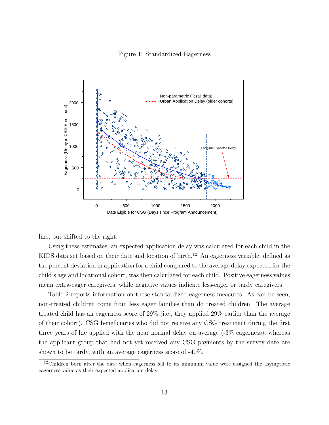Figure 1: Standardized Eagerness



line, but shifted to the right.

Using these estimates, an expected application delay was calculated for each child in the KIDS data set based on their date and location of birth.<sup>12</sup> An eagerness variable, defined as the percent deviation in application for a child compared to the average delay expected for the child's age and locational cohort, was then calculated for each child. Positive eagerness values mean extra-eager caregivers, while negative values indicate less-eager or tardy caregivers.

Table 2 reports information on these standardized eagerness measures. As can be seen, non-treated children come from less eager families than do treated children. The average treated child has an eagerness score of 29% (i.e., they applied 29% earlier than the average of their cohort). CSG beneficiaries who did not receive any CSG treatment during the first three years of life applied with the near normal delay on average (-3% eagerness), whereas the applicant group that had not yet received any CSG payments by the survey date are shown to be tardy, with an average eagerness score of -40%.

 $12$ Children born after the date when eagerness fell to its minimum value were assigned the asymptotic eagerness value as their expected application delay.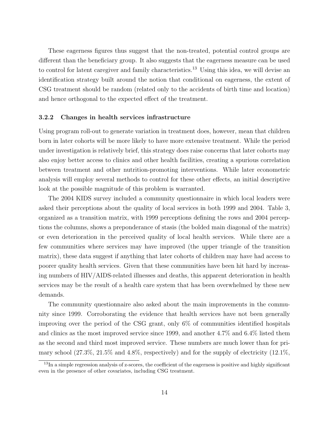These eagerness figures thus suggest that the non-treated, potential control groups are different than the beneficiary group. It also suggests that the eagerness measure can be used to control for latent caregiver and family characteristics.<sup>13</sup> Using this idea, we will devise an identification strategy built around the notion that conditional on eagerness, the extent of CSG treatment should be random (related only to the accidents of birth time and location) and hence orthogonal to the expected effect of the treatment.

#### 3.2.2 Changes in health services infrastructure

Using program roll-out to generate variation in treatment does, however, mean that children born in later cohorts will be more likely to have more extensive treatment. While the period under investigation is relatively brief, this strategy does raise concerns that later cohorts may also enjoy better access to clinics and other health facilities, creating a spurious correlation between treatment and other nutrition-promoting interventions. While later econometric analysis will employ several methods to control for these other effects, an initial descriptive look at the possible magnitude of this problem is warranted.

The 2004 KIDS survey included a community questionnaire in which local leaders were asked their perceptions about the quality of local services in both 1999 and 2004. Table 3, organized as a transition matrix, with 1999 perceptions defining the rows and 2004 perceptions the columns, shows a preponderance of stasis (the bolded main diagonal of the matrix) or even deterioration in the perceived quality of local health services. While there are a few communities where services may have improved (the upper triangle of the transition matrix), these data suggest if anything that later cohorts of children may have had access to poorer quality health services. Given that these communities have been hit hard by increasing numbers of HIV/AIDS-related illnesses and deaths, this apparent deterioration in health services may be the result of a health care system that has been overwhelmed by these new demands.

The community questionnaire also asked about the main improvements in the community since 1999. Corroborating the evidence that health services have not been generally improving over the period of the CSG grant, only 6% of communities identified hospitals and clinics as the most improved service since 1999, and another 4.7% and 6.4% listed them as the second and third most improved service. These numbers are much lower than for primary school (27.3%, 21.5% and 4.8%, respectively) and for the supply of electricity (12.1%,

 $13$ In a simple regression analysis of z-scores, the coefficient of the eagerness is positive and highly significant even in the presence of other covariates, including CSG treatment.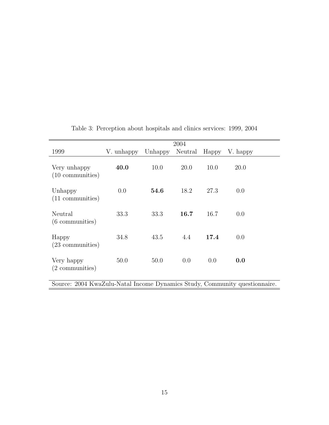|                                                                            | 2004       |         |         |       |          |  |  |
|----------------------------------------------------------------------------|------------|---------|---------|-------|----------|--|--|
| 1999                                                                       | V. unhappy | Unhappy | Neutral | Happy | V. happy |  |  |
| Very unhappy<br>$(10~\mathrm{commurities})$                                | 40.0       | 10.0    | 20.0    | 10.0  | 20.0     |  |  |
| Unhappy<br>$(11$ communities)                                              | 0.0        | 54.6    | 18.2    | 27.3  | 0.0      |  |  |
| Neutral<br>$(6$ communities)                                               | 33.3       | 33.3    | 16.7    | 16.7  | 0.0      |  |  |
| Happy<br>$(23$ communities)                                                | 34.8       | 43.5    | 4.4     | 17.4  | 0.0      |  |  |
| Very happy<br>(2 communities)                                              | 50.0       | 50.0    | 0.0     | 0.0   | 0.0      |  |  |
| Source: 2004 KwaZulu-Natal Income Dynamics Study, Community questionnaire. |            |         |         |       |          |  |  |

Table 3: Perception about hospitals and clinics services: 1999, 2004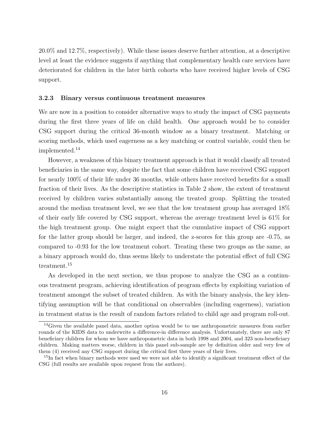20.0% and 12.7%, respectively). While these issues deserve further attention, at a descriptive level at least the evidence suggests if anything that complementary health care services have deteriorated for children in the later birth cohorts who have received higher levels of CSG support.

#### 3.2.3 Binary versus continuous treatment measures

We are now in a position to consider alternative ways to study the impact of CSG payments during the first three years of life on child health. One approach would be to consider CSG support during the critical 36-month window as a binary treatment. Matching or scoring methods, which used eagerness as a key matching or control variable, could then be implemented.<sup>14</sup>

However, a weakness of this binary treatment approach is that it would classify all treated beneficiaries in the same way, despite the fact that some children have received CSG support for nearly 100% of their life under 36 months, while others have received benefits for a small fraction of their lives. As the descriptive statistics in Table 2 show, the extent of treatment received by children varies substantially among the treated group. Splitting the treated around the median treatment level, we see that the low treatment group has averaged 18% of their early life covered by CSG support, whereas the average treatment level is 61% for the high treatment group. One might expect that the cumulative impact of CSG support for the latter group should be larger, and indeed, the z-scores for this group are -0.75, as compared to -0.93 for the low treatment cohort. Treating these two groups as the same, as a binary approach would do, thus seems likely to understate the potential effect of full CSG treatment.<sup>15</sup>

As developed in the next section, we thus propose to analyze the CSG as a continuous treatment program, achieving identification of program effects by exploiting variation of treatment amongst the subset of treated children. As with the binary analysis, the key identifying assumption will be that conditional on observables (including eagerness), variation in treatment status is the result of random factors related to child age and program roll-out.

<sup>&</sup>lt;sup>14</sup>Given the available panel data, another option would be to use anthropometric measures from earlier rounds of the KIDS data to underwrite a difference-in difference analysis. Unfortunately, there are only 87 beneficiary children for whom we have anthropometric data in both 1998 and 2004, and 323 non-beneficiary children. Making matters worse, children in this panel sub-sample are by definition older and very few of them (4) received any CSG support during the critical first three years of their lives.

<sup>&</sup>lt;sup>15</sup>In fact when binary methods were used we were not able to identify a significant treatment effect of the CSG (full results are available upon request from the authors).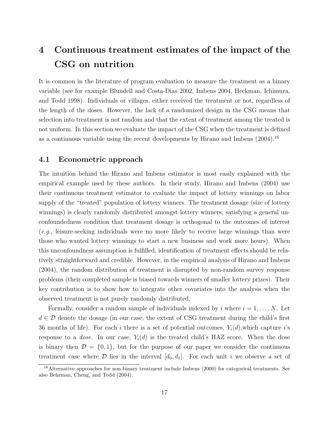# 4 Continuous treatment estimates of the impact of the CSG on nutrition

It is common in the literature of program evaluation to measure the treatment as a binary variable (see for example Blundell and Costa-Dias 2002, Imbens 2004, Heckman, Ichimura, and Todd 1998). Individuals or villages, either received the treatment or not, regardless of the length of the doses. However, the lack of a randomized design in the CSG means that selection into treatment is not random and that the extent of treatment among the treated is not uniform. In this section we evaluate the impact of the CSG when the treatment is defined as a continuous variable using the recent developments by Hirano and Imbens  $(2004)$ .<sup>16</sup>

#### 4.1 Econometric approach

The intuition behind the Hirano and Imbens estimator is most easily explained with the empirical example used by these authors. In their study, Hirano and Imbens (2004) use their continuous treatment estimator to evaluate the impact of lottery winnings on labor supply of the "treated" population of lottery winners. The treatment dosage (size of lottery winnings) is clearly randomly distributed amongst lottery winners, satisfying a general unconfoundedness condition that treatment dosage is orthogonal to the outcomes of interest (e.g., leisure-seeking individuals were no more likely to receive large winnings than were those who wanted lottery winnings to start a new business and work more hours). When this unconfoundness assumption is fulfilled, identification of treatment effects should be relatively straightforward and credible. However, in the empirical analysis of Hirano and Imbens (2004), the random distribution of treatment is disrupted by non-random survey response problems (their completed sample is biased towards winners of smaller lottery prizes). Their key contribution is to show how to integrate other covariates into the analysis when the observed treatment is not purely randomly distributed.

Formally, consider a random sample of individuals indexed by i where  $i = 1, \ldots, N$ . Let  $d \in \mathcal{D}$  denote the dosage (in our case, the extent of CSG treatment during the child's first 36 months of life). For each i there is a set of potential outcomes,  $Y_i(d)$ , which capture i's response to a *dose*. In our case,  $Y_i(d)$  is the treated child's HAZ score. When the dose is binary then  $\mathcal{D} = \{0, 1\}$ , but for the purpose of our paper we consider the continuous treatment case where  $\mathcal D$  lies in the interval  $[d_0, d_1]$ . For each unit i we observe a set of

<sup>&</sup>lt;sup>16</sup>Alternative approaches for non-binary treatment include Imbens (2000) for categorical treatments. See also Behrman, Cheng, and Todd (2004).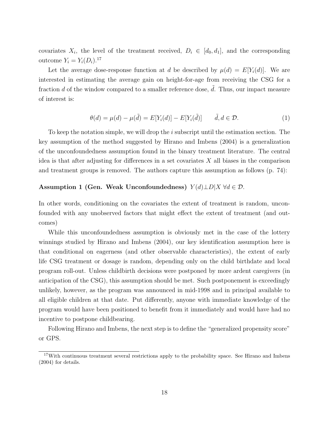covariates  $X_i$ , the level of the treatment received,  $D_i \in [d_0, d_1]$ , and the corresponding outcome  $Y_i = Y_i(D_i).^{17}$ 

Let the average dose-response function at d be described by  $\mu(d) = E[Y_i(d)]$ . We are interested in estimating the average gain on height-for-age from receiving the CSG for a fraction  $d$  of the window compared to a smaller reference dose,  $\ddot{d}$ . Thus, our impact measure of interest is:

$$
\theta(d) = \mu(d) - \mu(\tilde{d}) = E[Y_i(d)] - E[Y_i(\tilde{d})] \qquad \tilde{d}, d \in \mathcal{D}.
$$
\n(1)

To keep the notation simple, we will drop the *i* subscript until the estimation section. The key assumption of the method suggested by Hirano and Imbens (2004) is a generalization of the unconfoundedness assumption found in the binary treatment literature. The central idea is that after adjusting for differences in a set covariates  $X$  all biases in the comparison and treatment groups is removed. The authors capture this assumption as follows (p. 74):

#### Assumption 1 (Gen. Weak Unconfoundedness)  $Y(d) \perp D | X \forall d \in \mathcal{D}$ .

In other words, conditioning on the covariates the extent of treatment is random, unconfounded with any unobserved factors that might effect the extent of treatment (and outcomes)

While this unconfoundedness assumption is obviously met in the case of the lottery winnings studied by Hirano and Imbens (2004), our key identification assumption here is that conditional on eagerness (and other observable characteristics), the extent of early life CSG treatment or dosage is random, depending only on the child birthdate and local program roll-out. Unless childbirth decisions were postponed by more ardent caregivers (in anticipation of the CSG), this assumption should be met. Such postponement is exceedingly unlikely, however, as the program was announced in mid-1998 and in principal available to all eligible children at that date. Put differently, anyone with immediate knowledge of the program would have been positioned to benefit from it immediately and would have had no incentive to postpone childbearing.

Following Hirano and Imbens, the next step is to define the "generalized propensity score" or GPS.

<sup>&</sup>lt;sup>17</sup>With continuous treatment several restrictions apply to the probability space. See Hirano and Imbens (2004) for details.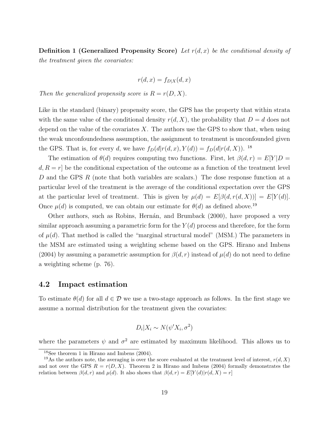**Definition 1 (Generalized Propensity Score)** Let  $r(d, x)$  be the conditional density of the treatment given the covariates:

$$
r(d, x) = f_{D|X}(d, x)
$$

Then the generalized propensity score is  $R = r(D, X)$ .

Like in the standard (binary) propensity score, the GPS has the property that within strata with the same value of the conditional density  $r(d, X)$ , the probability that  $D = d$  does not depend on the value of the covariates  $X$ . The authors use the GPS to show that, when using the weak unconfoundedness assumption, the assignment to treatment is unconfounded given the GPS. That is, for every d, we have  $f_D(d|r(d, x), Y(d)) = f_D(d|r(d, X))$ . <sup>18</sup>

The estimation of  $\theta(d)$  requires computing two functions. First, let  $\beta(d,r) = E[Y|D =$  $d, R = r$  be the conditional expectation of the outcome as a function of the treatment level D and the GPS R (note that both variables are scalars.) The dose response function at a particular level of the treatment is the average of the conditional expectation over the GPS at the particular level of treatment. This is given by  $\mu(d) = E[\beta(d, r(d, X))] = E[Y(d)].$ Once  $\mu(d)$  is computed, we can obtain our estimate for  $\theta(d)$  as defined above.<sup>19</sup>

Other authors, such as Robins, Hernán, and Brumback (2000), have proposed a very similar approach assuming a parametric form for the  $Y(d)$  process and therefore, for the form of  $\mu(d)$ . That method is called the "marginal structural model" (MSM.) The parameters in the MSM are estimated using a weighting scheme based on the GPS. Hirano and Imbens (2004) by assuming a parametric assumption for  $\beta(d, r)$  instead of  $\mu(d)$  do not need to define a weighting scheme (p. 76).

#### 4.2 Impact estimation

To estimate  $\theta(d)$  for all  $d \in \mathcal{D}$  we use a two-stage approach as follows. In the first stage we assume a normal distribution for the treatment given the covariates:

$$
D_i|X_i \sim N(\psi'X_i, \sigma^2)
$$

where the parameters  $\psi$  and  $\sigma^2$  are estimated by maximum likelihood. This allows us to

<sup>18</sup>See theorem 1 in Hirano and Imbens (2004).

<sup>&</sup>lt;sup>19</sup>As the authors note, the averaging is over the score evaluated at the treatment level of interest,  $r(d, X)$ and not over the GPS  $R = r(D, X)$ . Theorem 2 in Hirano and Imbens (2004) formally demonstrates the relation between  $\beta(d, r)$  and  $\mu(d)$ . It also shows that  $\beta(d, r) = E[Y(d)|r(d, X) = r]$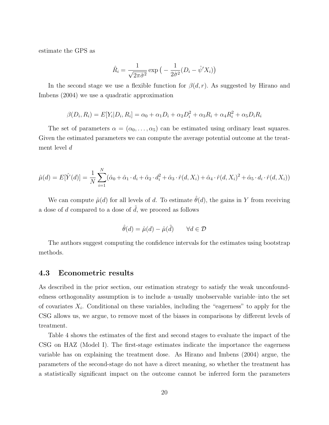estimate the GPS as

$$
\hat{R}_i = \frac{1}{\sqrt{2\pi\hat{\sigma}^2}} \exp\big(-\frac{1}{2\hat{\sigma}^2} (D_i - \hat{\psi}' X_i)\big)
$$

In the second stage we use a flexible function for  $\beta(d, r)$ . As suggested by Hirano and Imbens (2004) we use a quadratic approximation

$$
\beta(D_i, R_i) = E[Y_i | D_i, R_i] = \alpha_0 + \alpha_1 D_i + \alpha_2 D_i^2 + \alpha_3 R_i + \alpha_4 R_i^2 + \alpha_5 D_i R_i
$$

The set of parameters  $\alpha = (\alpha_0, \dots, \alpha_5)$  can be estimated using ordinary least squares. Given the estimated parameters we can compute the average potential outcome at the treatment level d

$$
\hat{\mu}(d) = E[\hat{Y}(d)] = \frac{1}{N} \sum_{i=1}^{N} (\hat{\alpha}_0 + \hat{\alpha}_1 \cdot d_i + \hat{\alpha}_2 \cdot d_i^2 + \hat{\alpha}_3 \cdot \hat{r}(d, X_i) + \hat{\alpha}_4 \cdot \hat{r}(d, X_i)^2 + \hat{\alpha}_5 \cdot d_i \cdot \hat{r}(d, X_i))
$$

We can compute  $\hat{\mu}(d)$  for all levels of d. To estimate  $\hat{\theta}(d)$ , the gains in Y from receiving a dose of d compared to a dose of  $\tilde{d}$ , we proceed as follows

$$
\hat{\theta}(d) = \hat{\mu}(d) - \hat{\mu}(\tilde{d}) \qquad \forall d \in \mathcal{D}
$$

The authors suggest computing the confidence intervals for the estimates using bootstrap methods.

#### 4.3 Econometric results

As described in the prior section, our estimation strategy to satisfy the weak unconfoundedness orthogonality assumption is to include a–usually unobservable variable–into the set of covariates  $X_i$ . Conditional on these variables, including the "eagerness" to apply for the CSG allows us, we argue, to remove most of the biases in comparisons by different levels of treatment.

Table 4 shows the estimates of the first and second stages to evaluate the impact of the CSG on HAZ (Model I). The first-stage estimates indicate the importance the eagerness variable has on explaining the treatment dose. As Hirano and Imbens (2004) argue, the parameters of the second-stage do not have a direct meaning, so whether the treatment has a statistically significant impact on the outcome cannot be inferred form the parameters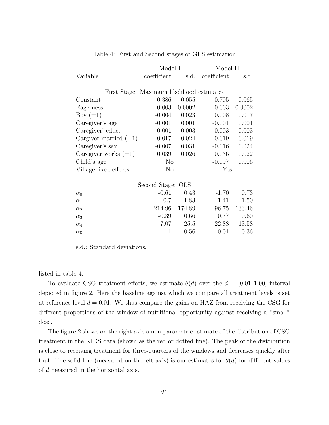|                                           | Model I        |        | Model II    |        |  |  |  |
|-------------------------------------------|----------------|--------|-------------|--------|--|--|--|
| Variable                                  | coefficient    | s.d.   | coefficient | s.d.   |  |  |  |
|                                           |                |        |             |        |  |  |  |
| First Stage: Maximum likelihood estimates |                |        |             |        |  |  |  |
| Constant                                  | 0.386          | 0.055  | 0.705       | 0.065  |  |  |  |
| Eagerness                                 | $-0.003$       | 0.0002 | $-0.003$    | 0.0002 |  |  |  |
| Boy $(=1)$                                | $-0.004$       | 0.023  | 0.008       | 0.017  |  |  |  |
| Caregiver's age                           | $-0.001$       | 0.001  | $-0.001$    | 0.001  |  |  |  |
| Caregiver' educ.                          | $-0.001$       | 0.003  | $-0.003$    | 0.003  |  |  |  |
| Cargiver married $(=1)$                   | $-0.017$       | 0.024  | $-0.019$    | 0.019  |  |  |  |
| Caregiver's sex                           | $-0.007$       | 0.031  | $-0.016$    | 0.024  |  |  |  |
| Caregiver works $(=1)$                    | 0.039          | 0.026  | 0.036       | 0.022  |  |  |  |
| Child's age                               | N <sub>o</sub> |        | $-0.097$    | 0.006  |  |  |  |
| Village fixed effects                     | $\rm No$       |        | Yes         |        |  |  |  |
|                                           |                |        |             |        |  |  |  |
| Second Stage: OLS                         |                |        |             |        |  |  |  |
| $\alpha_0$                                | $-0.61$        | 0.43   | $-1.70$     | 0.73   |  |  |  |
| $\alpha_1$                                | 0.7            | 1.83   | 1.41        | 1.50   |  |  |  |
| $\alpha_2$                                | $-214.96$      | 174.89 | $-96.75$    | 133.46 |  |  |  |
| $\alpha_3$                                | $-0.39$        | 0.66   | 0.77        | 0.60   |  |  |  |
| $\alpha_4$                                | $-7.07$        | 25.5   | $-22.88$    | 13.58  |  |  |  |
| $\alpha_5$                                | $1.1\,$        | 0.56   | $-0.01$     | 0.36   |  |  |  |
|                                           |                |        |             |        |  |  |  |
| s.d.: Standard deviations.                |                |        |             |        |  |  |  |

Table 4: First and Second stages of GPS estimation

listed in table 4.

To evaluate CSG treatment effects, we estimate  $\theta(d)$  over the  $d = [0.01, 1.00]$  interval depicted in figure 2. Here the baseline against which we compare all treatment levels is set at reference level  $d = 0.01$ . We thus compare the gains on HAZ from receiving the CSG for different proportions of the window of nutritional opportunity against receiving a "small" dose.

The figure 2 shows on the right axis a non-parametric estimate of the distribution of CSG treatment in the KIDS data (shown as the red or dotted line). The peak of the distribution is close to receiving treatment for three-quarters of the windows and decreases quickly after that. The solid line (measured on the left axis) is our estimates for  $\theta(d)$  for different values of d measured in the horizontal axis.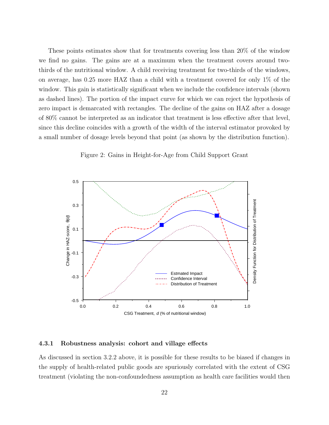These points estimates show that for treatments covering less than 20% of the window we find no gains. The gains are at a maximum when the treatment covers around twothirds of the nutritional window. A child receiving treatment for two-thirds of the windows, on average, has 0.25 more HAZ than a child with a treatment covered for only 1% of the window. This gain is statistically significant when we include the confidence intervals (shown as dashed lines). The portion of the impact curve for which we can reject the hypothesis of zero impact is demarcated with rectangles. The decline of the gains on HAZ after a dosage of 80% cannot be interpreted as an indicator that treatment is less effective after that level, since this decline coincides with a growth of the width of the interval estimator provoked by a small number of dosage levels beyond that point (as shown by the distribution function).

Figure 2: Gains in Height-for-Age from Child Support Grant



#### 4.3.1 Robustness analysis: cohort and village effects

As discussed in section 3.2.2 above, it is possible for these results to be biased if changes in the supply of health-related public goods are spuriously correlated with the extent of CSG treatment (violating the non-confoundedness assumption as health care facilities would then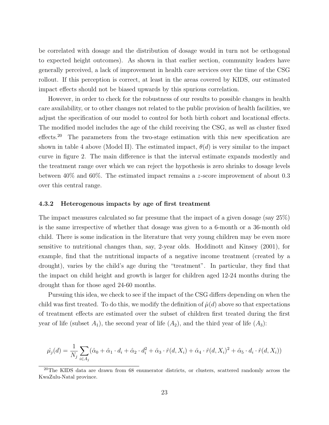be correlated with dosage and the distribution of dosage would in turn not be orthogonal to expected height outcomes). As shown in that earlier section, community leaders have generally perceived, a lack of improvement in health care services over the time of the CSG rollout. If this perception is correct, at least in the areas covered by KIDS, our estimated impact effects should not be biased upwards by this spurious correlation.

However, in order to check for the robustness of our results to possible changes in health care availability, or to other changes not related to the public provision of health facilities, we adjust the specification of our model to control for both birth cohort and locational effects. The modified model includes the age of the child receiving the CSG, as well as cluster fixed effects.<sup>20</sup> The parameters from the two-stage estimation with this new specification are shown in table 4 above (Model II). The estimated impact,  $\theta(d)$  is very similar to the impact curve in figure 2. The main difference is that the interval estimate expands modestly and the treatment range over which we can reject the hypothesis is zero shrinks to dosage levels between  $40\%$  and  $60\%$ . The estimated impact remains a z-score improvement of about 0.3 over this central range.

#### 4.3.2 Heterogenous impacts by age of first treatment

The impact measures calculated so far presume that the impact of a given dosage (say 25%) is the same irrespective of whether that dosage was given to a 6-month or a 36-month old child. There is some indication in the literature that very young children may be even more sensitive to nutritional changes than, say, 2-year olds. Hoddinott and Kinsey (2001), for example, find that the nutritional impacts of a negative income treatment (created by a drought), varies by the child's age during the "treatment". In particular, they find that the impact on child height and growth is larger for children aged 12-24 months during the drought than for those aged 24-60 months.

Pursuing this idea, we check to see if the impact of the CSG differs depending on when the child was first treated. To do this, we modify the definition of  $\hat{\mu}(d)$  above so that expectations of treatment effects are estimated over the subset of children first treated during the first year of life (subset  $A_1$ ), the second year of life  $(A_2)$ , and the third year of life  $(A_3)$ :

$$
\hat{\mu_j}(d) = \frac{1}{N_j} \sum_{i \in A_j} (\hat{\alpha}_0 + \hat{\alpha}_1 \cdot d_i + \hat{\alpha}_2 \cdot d_i^2 + \hat{\alpha}_3 \cdot \hat{r}(d, X_i) + \hat{\alpha}_4 \cdot \hat{r}(d, X_i)^2 + \hat{\alpha}_5 \cdot d_i \cdot \hat{r}(d, X_i))
$$

<sup>&</sup>lt;sup>20</sup>The KIDS data are drawn from 68 enumerator districts, or clusters, scattered randomly across the KwaZulu-Natal province.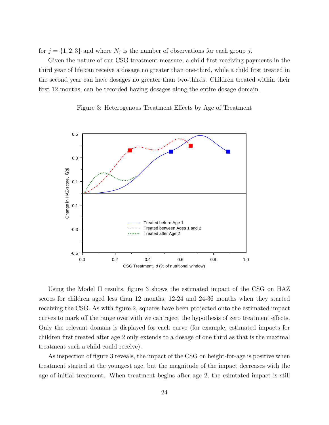for  $j = \{1, 2, 3\}$  and where  $N_j$  is the number of observations for each group j.

Given the nature of our CSG treatment measure, a child first receiving payments in the third year of life can receive a dosage no greater than one-third, while a child first treated in the second year can have dosages no greater than two-thirds. Children treated within their first 12 months, can be recorded having dosages along the entire dosage domain.





Using the Model II results, figure 3 shows the estimated impact of the CSG on HAZ scores for children aged less than 12 months, 12-24 and 24-36 months when they started receiving the CSG. As with figure 2, squares have been projected onto the estimated impact curves to mark off the range over with we can reject the hypothesis of zero treatment effects. Only the relevant domain is displayed for each curve (for example, estimated impacts for children first treated after age 2 only extends to a dosage of one third as that is the maximal treatment such a child could receive).

As inspection of figure 3 reveals, the impact of the CSG on height-for-age is positive when treatment started at the youngest age, but the magnitude of the impact decreases with the age of initial treatment. When treatment begins after age 2, the esimtated impact is still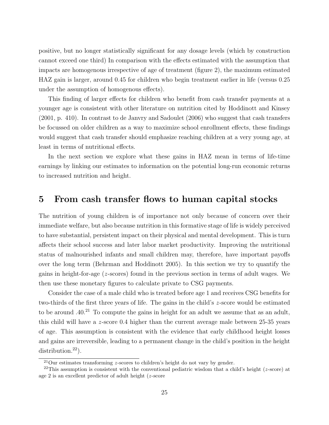positive, but no longer statistically significant for any dosage levels (which by construction cannot exceed one third) In comparison with the effects estimated with the assumption that impacts are homogenous irrespective of age of treatment (figure 2), the maximum estimated HAZ gain is larger, around 0.45 for children who begin treatment earlier in life (versus 0.25 under the assumption of homogenous effects).

This finding of larger effects for children who benefit from cash transfer payments at a younger age is consistent with other literature on nutrition cited by Hoddinott and Kinsey (2001, p. 410). In contrast to de Janvry and Sadoulet (2006) who suggest that cash transfers be focussed on older children as a way to maximize school enrollment effects, these findings would suggest that cash transfer should emphasize reaching children at a very young age, at least in terms of nutritional effects.

In the next section we explore what these gains in HAZ mean in terms of life-time earnings by linking our estimates to information on the potential long-run economic returns to increased nutrition and height.

## 5 From cash transfer flows to human capital stocks

The nutrition of young children is of importance not only because of concern over their immediate welfare, but also because nutrition in this formative stage of life is widely perceived to have substantial, persistent impact on their physical and mental development. This is turn affects their school success and later labor market productivity. Improving the nutritional status of malnourished infants and small children may, therefore, have important payoffs over the long term (Behrman and Hoddinott 2005). In this section we try to quantify the gains in height-for-age ( $z$ -scores) found in the previous section in terms of adult wages. We then use these monetary figures to calculate private to CSG payments.

Consider the case of a male child who is treated before age 1 and receives CSG benefits for two-thirds of the first three years of life. The gains in the child's  $z$ -score would be estimated to be around .40.<sup>21</sup> To compute the gains in height for an adult we assume that as an adult, this child will have a  $z$ -score 0.4 higher than the current average male between 25-35 years of age. This assumption is consistent with the evidence that early childhood height losses and gains are irreversible, leading to a permanent change in the child's position in the height  $distribution.<sup>22</sup>$ ).

 $21$ Our estimates transforming z-scores to children's height do not vary by gender.

<sup>&</sup>lt;sup>22</sup>This assumption is consistent with the conventional pediatric wisdom that a child's height ( $z$ -score) at age 2 is an excellent predictor of adult height  $(z\text{-score})$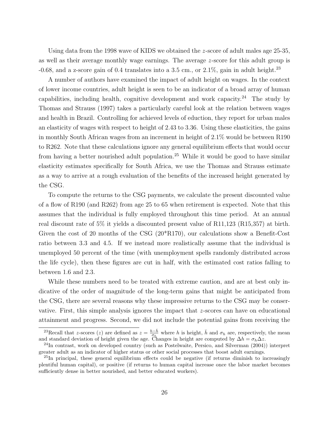Using data from the 1998 wave of KIDS we obtained the z-score of adult males age 25-35, as well as their average monthly wage earnings. The average z-score for this adult group is -0.68, and a z-score gain of 0.4 translates into a 3.5 cm., or  $2.1\%$ , gain in adult height.<sup>23</sup>

A number of authors have examined the impact of adult height on wages. In the context of lower income countries, adult height is seen to be an indicator of a broad array of human capabilities, including health, cognitive development and work capacity.<sup>24</sup> The study by Thomas and Strauss (1997) takes a particularly careful look at the relation between wages and health in Brazil. Controlling for achieved levels of eduction, they report for urban males an elasticity of wages with respect to height of 2.43 to 3.36. Using these elasticities, the gains in monthly South African wages from an increment in height of 2.1% would be between R190 to R262. Note that these calculations ignore any general equilibrium effects that would occur from having a better nourished adult population.<sup>25</sup> While it would be good to have similar elasticity estimates specifically for South Africa, we use the Thomas and Strauss estimate as a way to arrive at a rough evaluation of the benefits of the increased height generated by the CSG.

To compute the returns to the CSG payments, we calculate the present discounted value of a flow of R190 (and R262) from age 25 to 65 when retirement is expected. Note that this assumes that the individual is fully employed throughout this time period. At an annual real discount rate of 5% it yields a discounted present value of R11,123 (R15,357) at birth. Given the cost of 20 months of the CSG (20\*R170), our calculations show a Benefit-Cost ratio between 3.3 and 4.5. If we instead more realistically assume that the individual is unemployed 50 percent of the time (with unemployment spells randomly distributed across the life cycle), then these figures are cut in half, with the estimated cost ratios falling to between 1.6 and 2.3.

While these numbers need to be treated with extreme caution, and are at best only indicative of the order of magnitude of the long-term gains that might be anticipated from the CSG, there are several reasons why these impressive returns to the CSG may be conservative. First, this simple analysis ignores the impact that z-scores can have on educational attainment and progress. Second, we did not include the potential gains from receiving the

<sup>&</sup>lt;sup>23</sup>Recall that *z*-scores (*z*) are defined as  $z = \frac{h-\bar{h}}{g}$  $\frac{a-\bar{h}}{\sigma_h}$  where h is height,  $\bar{h}$  and  $\sigma_h$  are, respectively, the mean and standard deviation of height given the age. Changes in height are computed by  $\Delta h = \sigma_h \Delta z$ .

<sup>24</sup>In contrast, work on developed country (such as Postelwaite, Persico, and Silverman (2004)) interpret greater adult as an indicator of higher status or other social processes that boost adult earnings.

<sup>&</sup>lt;sup>25</sup>In principal, these general equilibrium effects could be negative (if returns diminish to increasingly plentiful human capital), or positive (if returns to human capital increase once the labor market becomes sufficiently dense in better nourished, and better educated workers).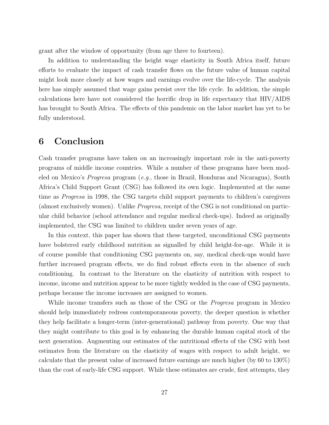grant after the window of opportunity (from age three to fourteen).

In addition to understanding the height wage elasticity in South Africa itself, future efforts to evaluate the impact of cash transfer flows on the future value of human capital might look more closely at how wages and earnings evolve over the life-cycle. The analysis here has simply assumed that wage gains persist over the life cycle. In addition, the simple calculations here have not considered the horrific drop in life expectancy that HIV/AIDS has brought to South Africa. The effects of this pandemic on the labor market has yet to be fully understood.

# 6 Conclusion

Cash transfer programs have taken on an increasingly important role in the anti-poverty programs of middle income countries. While a number of these programs have been modeled on Mexico's Progresa program (e.g., those in Brazil, Honduras and Nicaragua), South Africa's Child Support Grant (CSG) has followed its own logic. Implemented at the same time as Progresa in 1998, the CSG targets child support payments to children's caregivers (almost exclusively women). Unlike Progresa, receipt of the CSG is not conditional on particular child behavior (school attendance and regular medical check-ups). Indeed as originally implemented, the CSG was limited to children under seven years of age.

In this context, this paper has shown that these targeted, unconditional CSG payments have bolstered early childhood nutrition as signalled by child height-for-age. While it is of course possible that conditioning CSG payments on, say, medical check-ups would have further increased program effects, we do find robust effects even in the absence of such conditioning. In contrast to the literature on the elasticity of nutrition with respect to income, income and nutrition appear to be more tightly wedded in the case of CSG payments, perhaps because the income increases are assigned to women.

While income transfers such as those of the CSG or the *Progresa* program in Mexico should help immediately redress contemporaneous poverty, the deeper question is whether they help facilitate a longer-term (inter-generational) pathway from poverty. One way that they might contribute to this goal is by enhancing the durable human capital stock of the next generation. Augmenting our estimates of the nutritional effects of the CSG with best estimates from the literature on the elasticity of wages with respect to adult height, we calculate that the present value of increased future earnings are much higher (by 60 to 130%) than the cost of early-life CSG support. While these estimates are crude, first attempts, they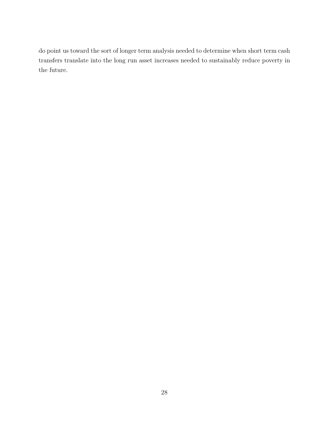do point us toward the sort of longer term analysis needed to determine when short term cash transfers translate into the long run asset increases needed to sustainably reduce poverty in the future.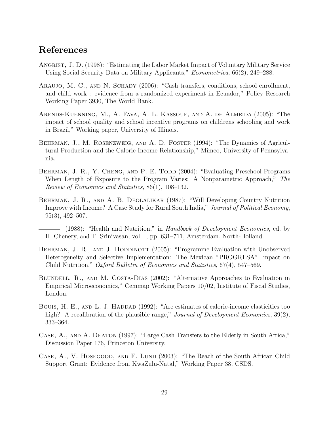## References

- ANGRIST, J. D. (1998): "Estimating the Labor Market Impact of Voluntary Military Service Using Social Security Data on Military Applicants," Econometrica, 66(2), 249–288.
- ARAUJO, M. C., AND N. SCHADY (2006): "Cash transfers, conditions, school enrollment, and child work : evidence from a randomized experiment in Ecuador," Policy Research Working Paper 3930, The World Bank.
- Arends-Kuenning, M., A. Fava, A. L. Kassouf, and A. de Almeida (2005): "The impact of school quality and school incentive programs on childrens schooling and work in Brazil," Working paper, University of Illinois.
- Behrman, J., M. Rosenzweig, and A. D. Foster (1994): "The Dynamics of Agricultural Production and the Calorie-Income Relationship," Mimeo, University of Pennsylvania.
- BEHRMAN, J. R., Y. CHENG, AND P. E. TODD (2004): "Evaluating Preschool Programs When Length of Exposure to the Program Varies: A Nonparametric Approach," The Review of Economics and Statistics, 86(1), 108–132.
- Behrman, J. R., and A. B. Deolalikar (1987): "Will Developing Country Nutrition Improve with Income? A Case Study for Rural South India," Journal of Political Economy, 95(3), 492–507.
- (1988): "Health and Nutrition," in Handbook of Development Economics, ed. by H. Chenery, and T. Srinivasan, vol. I, pp. 631–711, Amsterdam. North-Holland.
- BEHRMAN, J. R., AND J. HODDINOTT (2005): "Programme Evaluation with Unobserved Heterogeneity and Selective Implementation: The Mexican "PROGRESA" Impact on Child Nutrition," Oxford Bulletin of Economics and Statistics, 67(4), 547–569.
- BLUNDELL, R., AND M. COSTA-DIAS (2002): "Alternative Approaches to Evaluation in Empirical Microeconomics," Cemmap Working Papers 10/02, Institute of Fiscal Studies, London.
- BOUIS, H. E., AND L. J. HADDAD (1992): "Are estimates of calorie-income elasticities too high?: A recalibration of the plausible range," *Journal of Development Economics*, 39(2), 333–364.
- CASE, A., AND A. DEATON (1997): "Large Cash Transfers to the Elderly in South Africa," Discussion Paper 176, Princeton University.
- CASE, A., V. HOSEGOOD, AND F. LUND (2003): "The Reach of the South African Child Support Grant: Evidence from KwaZulu-Natal," Working Paper 38, CSDS.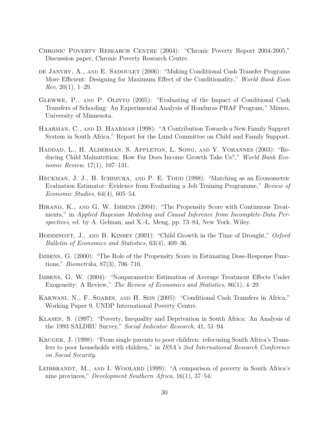- Chronic Poverty Research Centre (2004): "Chronic Poverty Report 2004-2005," Discussion paper, Chronic Poverty Research Centre.
- de Janvry, A., and E. Sadoulet (2006): "Making Conditional Cash Transfer Programs More Efficient: Designing for Maximum Effect of the Conditionality," World Bank Econ  $Rev, 20(1), 1-29.$
- Glewwe, P., and P. Olinto (2005): "Evaluating of the Impact of Conditional Cash Transfers of Schooling: An Experimental Analysis of Honduras PRAF Program," Mimeo, University of Minnesota.
- Haarman, C., and D. Haarman (1998): "A Contribution Towards a New Family Support System in South Africa," Report for the Lund Committee on Child and Family Support.
- Haddad, L., H. Alderman, S. Appleton, L. Song, and Y. Yohannes (2003): "Reducing Child Malnutrition: How Far Does Income Growth Take Us?," World Bank Economic Review, 17(1), 107–131.
- HECKMAN, J. J., H. ICHIMURA, AND P. E. TODD (1998): "Matching as an Econometric Evaluation Estimator: Evidence from Evaluating a Job Training Programme," Review of Economic Studies, 64(4), 605–54.
- HIRANO, K., AND G. W. IMBENS (2004): "The Propensity Score with Continuous Treatments," in Applied Bayesian Modeling and Causal Inference from Incomplete-Data Perspectives, ed. by A. Gelman, and X.-L. Meng, pp. 73–84, New York. Wiley.
- HODDINOTT, J., AND B. KINSEY (2001): "Child Growth in the Time of Drought," Oxford Bulletin of Economics and Statistics, 63(4), 409–36.
- IMBENS, G. (2000): "The Role of the Propensity Score in Estimating Dose-Response Functions," Biometrika, 87(3), 706–710.
- Imbens, G. W. (2004): "Nonparametric Estimation of Average Treatment Effects Under Exogeneity: A Review," The Review of Economics and Statistics, 86(1), 4–29.
- Kakwani, N., F. Soares, and H. Son (2005): "Conditional Cash Transfers in Africa," Working Paper 9, UNDP International Poverty Centre.
- Klasen, S. (1997): "Poverty, Inequality and Deprivation in South Africa: An Analysis of the 1993 SALDRU Survey," Social Indicator Research, 41, 51–94.
- Kruger, J. (1998): "From single parents to poor children: refocusing South Africa's Transfers to poor households with children," in ISSA's 2nd International Research Conference on Social Security.
- LEIBBRANDT, M., AND I. WOOLARD (1999): "A comparison of poverty in South Africa's nine provinces," Development Southern Africa, 16(1), 37–54.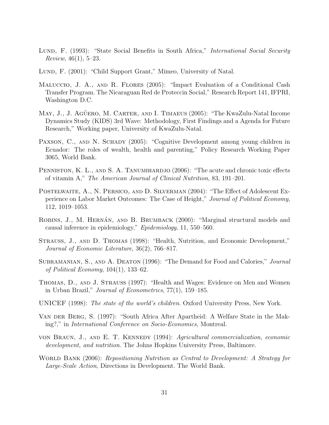- LUND, F. (1993): "State Social Benefits in South Africa," International Social Security *Review*,  $46(1)$ , 5–23.
- LUND, F. (2001): "Child Support Grant," Mimeo, University of Natal.
- Maluccio, J. A., and R. Flores (2005): "Impact Evaluation of a Conditional Cash Transfer Program. The Nicaraguan Red de Proteccin Social," Research Report 141, IFPRI, Washington D.C.
- MAY, J., J. AGÜERO, M. CARTER, AND I. TIMAEUS (2005): "The KwaZulu-Natal Income Dynamics Study (KIDS) 3rd Wave: Methodology, First Findings and a Agenda for Future Research," Working paper, University of KwaZulu-Natal.
- PAXSON, C., AND N. SCHADY (2005): "Cognitive Development among young children in Ecuador: The roles of wealth, health and parenting," Policy Research Working Paper 3065, World Bank.
- PENNISTON, K. L., AND S. A. TANUMIHARDJO (2006): "The acute and chronic toxic effects of vitamin A," The American Journal of Clinical Nutrition, 83, 191–201.
- POSTELWAITE, A., N. PERSICO, AND D. SILVERMAN (2004): "The Effect of Adolescent Experience on Labor Market Outcomes: The Case of Height," Journal of Political Economy, 112, 1019–1053.
- ROBINS, J., M. HERNÁN, AND B. BRUMBACK (2000): "Marginal structural models and causal inference in epidemiology," Epidemiology, 11, 550–560.
- Strauss, J., and D. Thomas (1998): "Health, Nutrition, and Economic Development," Journal of Economic Literature, 36(2), 766–817.
- SUBRAMANIAN, S., AND A. DEATON (1996): "The Demand for Food and Calories," Journal of Political Economy, 104(1), 133–62.
- Thomas, D., and J. Strauss (1997): "Health and Wages: Evidence on Men and Women in Urban Brazil," Journal of Econometrics, 77(1), 159–185.
- UNICEF (1998): The state of the world's children. Oxford University Press, New York.
- Van der Berg, S. (1997): "South Africa After Apartheid: A Welfare State in the Making?," in International Conference on Socio-Economics, Montreal.
- von BRAUN, J., AND E. T. KENNEDY (1994): Agricultural commercialization, economic development, and nutrition. The Johns Hopkins University Press, Baltimore.
- WORLD BANK (2006): Repositioning Nutrition as Central to Development: A Strategy for Large-Scale Action, Directions in Development. The World Bank.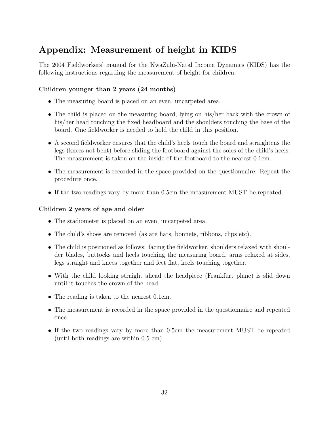# Appendix: Measurement of height in KIDS

The 2004 Fieldworkers' manual for the KwaZulu-Natal Income Dynamics (KIDS) has the following instructions regarding the measurement of height for children.

### Children younger than 2 years (24 months)

- The measuring board is placed on an even, uncarpeted area.
- The child is placed on the measuring board, lying on his/her back with the crown of his/her head touching the fixed headboard and the shoulders touching the base of the board. One fieldworker is needed to hold the child in this position.
- A second fieldworker ensures that the child's heels touch the board and straightens the legs (knees not bent) before sliding the footboard against the soles of the child's heels. The measurement is taken on the inside of the footboard to the nearest 0.1cm.
- The measurement is recorded in the space provided on the questionnaire. Repeat the procedure once,
- If the two readings vary by more than 0.5cm the measurement MUST be repeated.

### Children 2 years of age and older

- The stadiometer is placed on an even, uncarpeted area.
- The child's shoes are removed (as are hats, bonnets, ribbons, clips etc).
- The child is positioned as follows: facing the fieldworker, shoulders relaxed with shoulder blades, buttocks and heels touching the measuring board, arms relaxed at sides, legs straight and knees together and feet flat, heels touching together.
- With the child looking straight ahead the headpiece (Frankfurt plane) is slid down until it touches the crown of the head.
- The reading is taken to the nearest 0.1cm.
- The measurement is recorded in the space provided in the questionnaire and repeated once.
- If the two readings vary by more than 0.5cm the measurement MUST be repeated (until both readings are within 0.5 cm)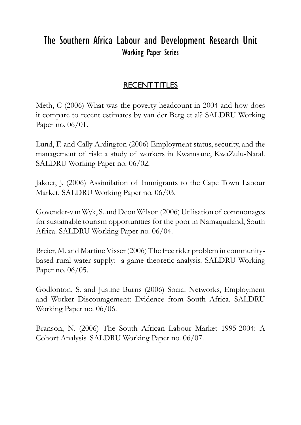# The Southern Africa Labour and Development Research Unit Working Paper Series

# RECENT TITLES

Meth, C (2006) What was the poverty headcount in 2004 and how does it compare to recent estimates by van der Berg et al? SALDRU Working Paper no. 06/01.

Lund, F. and Cally Ardington (2006) Employment status, security, and the management of risk: a study of workers in Kwamsane, KwaZulu-Natal. SALDRU Working Paper no. 06/02.

Jakoet, J. (2006) Assimilation of Immigrants to the Cape Town Labour Market. SALDRU Working Paper no. 06/03.

Govender-van Wyk, S. and Deon Wilson (2006) Utilisation of commonages for sustainable tourism opportunities for the poor in Namaqualand, South Africa. SALDRU Working Paper no. 06/04.

Breier, M. and Martine Visser (2006) The free rider problem in communitybased rural water supply: a game theoretic analysis. SALDRU Working Paper no. 06/05.

Godlonton, S. and Justine Burns (2006) Social Networks, Employment and Worker Discouragement: Evidence from South Africa. SALDRU Working Paper no. 06/06.

Branson, N. (2006) The South African Labour Market 1995-2004: A Cohort Analysis. SALDRU Working Paper no. 06/07.